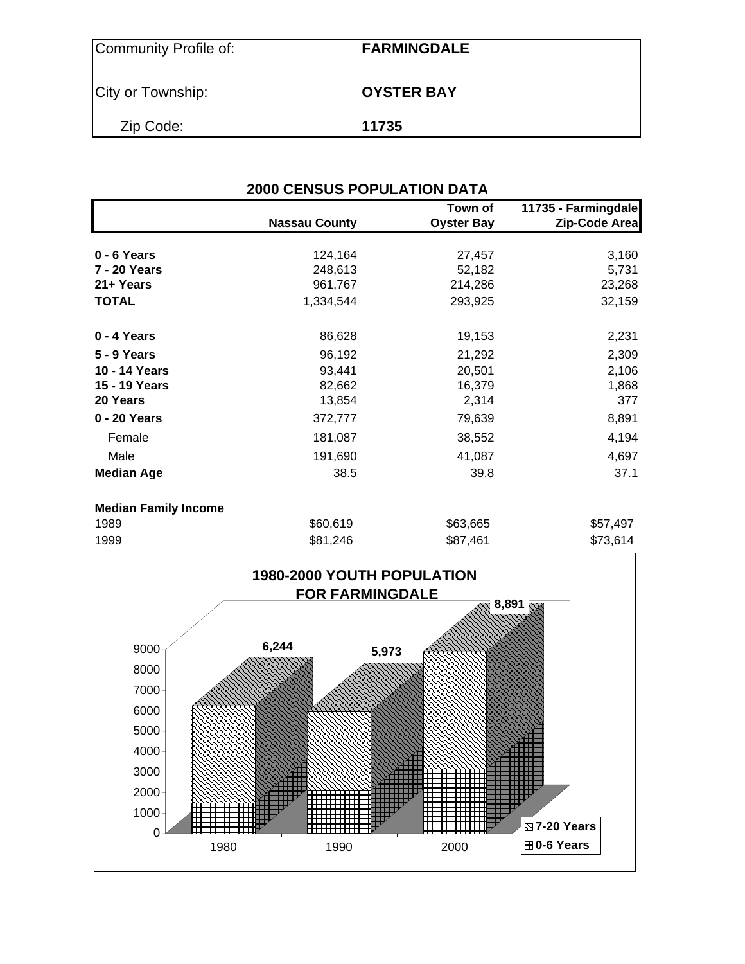| Community Profile of: | <b>FARMINGDALE</b> |
|-----------------------|--------------------|
| City or Township:     | <b>OYSTER BAY</b>  |
| Zip Code:             | 11735              |

| <b>2000 CENSUS POPULATION DATA</b> |                      |                              |                                      |  |  |  |  |
|------------------------------------|----------------------|------------------------------|--------------------------------------|--|--|--|--|
|                                    | <b>Nassau County</b> | Town of<br><b>Oyster Bay</b> | 11735 - Farmingdale<br>Zip-Code Area |  |  |  |  |
| 0 - 6 Years                        | 124,164              | 27,457                       | 3,160                                |  |  |  |  |
| 7 - 20 Years                       | 248,613              | 52,182                       | 5,731                                |  |  |  |  |
| 21+ Years                          | 961,767              | 214,286                      | 23,268                               |  |  |  |  |
| <b>TOTAL</b>                       | 1,334,544            | 293,925                      | 32,159                               |  |  |  |  |
| 0 - 4 Years                        | 86,628               | 19,153                       | 2,231                                |  |  |  |  |
| <b>5 - 9 Years</b>                 | 96,192               | 21,292                       | 2,309                                |  |  |  |  |
| 10 - 14 Years                      | 93,441               | 20,501                       | 2,106                                |  |  |  |  |
| 15 - 19 Years                      | 82,662               | 16,379                       | 1,868                                |  |  |  |  |
| 20 Years                           | 13,854               | 2,314                        | 377                                  |  |  |  |  |
| 0 - 20 Years                       | 372,777              | 79,639                       | 8,891                                |  |  |  |  |
| Female                             | 181,087              | 38,552                       | 4,194                                |  |  |  |  |
| Male                               | 191,690              | 41,087                       | 4,697                                |  |  |  |  |
| <b>Median Age</b>                  | 38.5                 | 39.8                         | 37.1                                 |  |  |  |  |
| <b>Median Family Income</b>        |                      |                              |                                      |  |  |  |  |
| ے م                                | 0.60640              | COO CCE                      | QE7107                               |  |  |  |  |

| 1989 | \$60,619 | \$63,665 | \$57,497 |
|------|----------|----------|----------|
| 1999 | \$81,246 | \$87,461 | \$73,614 |

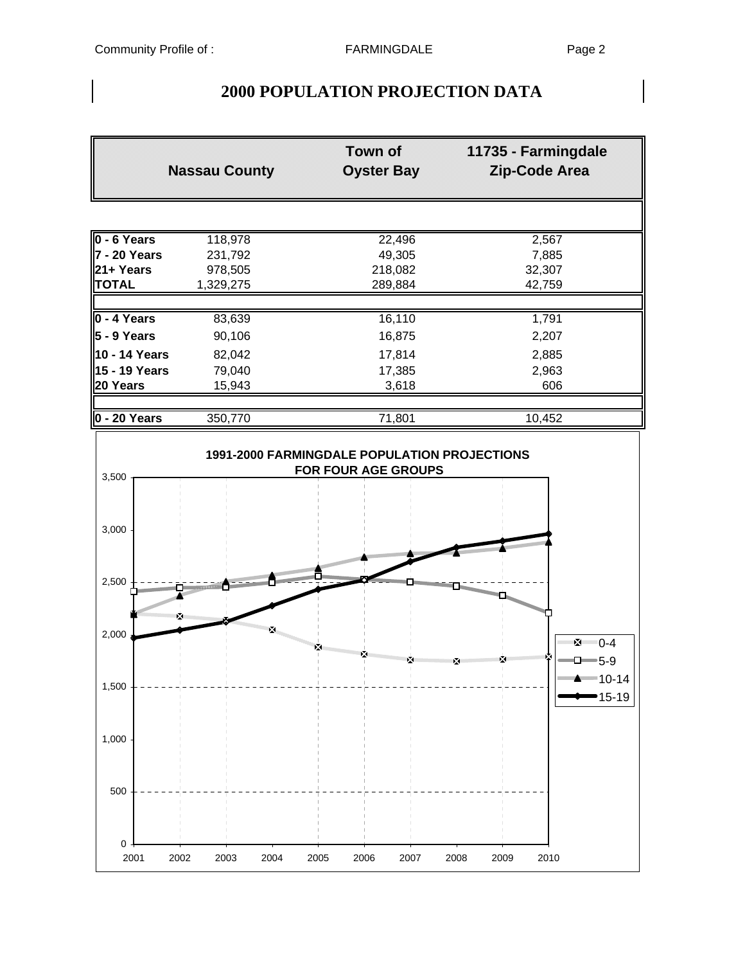# **2000 POPULATION PROJECTION DATA**

|                                                                            | <b>Nassau County</b> | <b>Town of</b><br><b>Oyster Bay</b> | 11735 - Farmingdale<br>Zip-Code Area |  |  |  |  |  |
|----------------------------------------------------------------------------|----------------------|-------------------------------------|--------------------------------------|--|--|--|--|--|
|                                                                            |                      |                                     |                                      |  |  |  |  |  |
| $0 - 6$ Years                                                              | 118,978              | 22,496                              | 2,567                                |  |  |  |  |  |
| 7 - 20 Years                                                               | 231,792              | 49,305                              | 7,885                                |  |  |  |  |  |
| 21+ Years                                                                  | 978,505              | 218,082                             | 32,307                               |  |  |  |  |  |
| <b>TOTAL</b>                                                               | 1,329,275            | 289,884                             | 42,759                               |  |  |  |  |  |
|                                                                            |                      |                                     |                                      |  |  |  |  |  |
| $0 - 4$ Years                                                              | 83,639               | 16,110                              | 1,791                                |  |  |  |  |  |
| $\vert$ 5 - 9 Years                                                        | 90,106               | 16,875                              | 2,207                                |  |  |  |  |  |
| 10 - 14 Years                                                              | 82,042               | 17,814                              | 2,885                                |  |  |  |  |  |
| 15 - 19 Years                                                              | 79,040               | 17,385                              | 2,963                                |  |  |  |  |  |
| 20 Years                                                                   | 15,943               | 3,618                               | 606                                  |  |  |  |  |  |
|                                                                            |                      |                                     |                                      |  |  |  |  |  |
| $\vert$ 0 - 20 Years                                                       | 350,770              | 71,801                              | 10,452                               |  |  |  |  |  |
| 1991-2000 FARMINGDALE POPULATION PROJECTIONS<br><b>FOR FOUR AGE GROUPS</b> |                      |                                     |                                      |  |  |  |  |  |
| 3,500                                                                      |                      |                                     |                                      |  |  |  |  |  |
| 3.000                                                                      |                      |                                     |                                      |  |  |  |  |  |

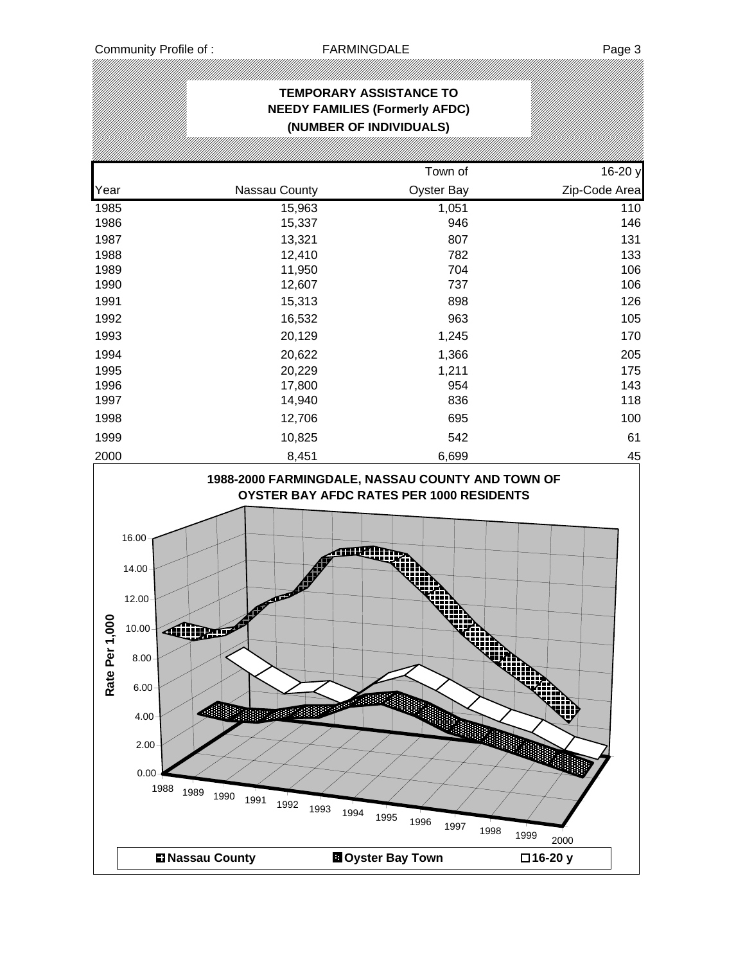.<br>M

|                    | <b>TEMPORARY ASSISTANCE TO</b><br><b>NEEDY FAMILIES (Formerly AFDC)</b><br>(NUMBER OF INDIVIDUALS)                                             |                                            |                                          |                                  |  |  |  |  |  |
|--------------------|------------------------------------------------------------------------------------------------------------------------------------------------|--------------------------------------------|------------------------------------------|----------------------------------|--|--|--|--|--|
|                    |                                                                                                                                                |                                            |                                          |                                  |  |  |  |  |  |
|                    |                                                                                                                                                |                                            | Town of                                  | 16-20 y                          |  |  |  |  |  |
| Year               |                                                                                                                                                | Nassau County                              | Oyster Bay                               | Zip-Code Area                    |  |  |  |  |  |
| 1985               |                                                                                                                                                | 15,963                                     | 1,051                                    | 110                              |  |  |  |  |  |
| 1986               |                                                                                                                                                | 15,337                                     | 946                                      | 146                              |  |  |  |  |  |
| 1987<br>1988       |                                                                                                                                                | 13,321<br>12,410                           | 807<br>782                               | 131<br>133                       |  |  |  |  |  |
| 1989               |                                                                                                                                                | 11,950                                     | 704                                      | 106                              |  |  |  |  |  |
| 1990               |                                                                                                                                                | 12,607                                     | 737                                      | 106                              |  |  |  |  |  |
| 1991               |                                                                                                                                                | 15,313                                     | 898                                      | 126                              |  |  |  |  |  |
| 1992               |                                                                                                                                                | 16,532                                     | 963                                      | 105                              |  |  |  |  |  |
| 1993               |                                                                                                                                                | 20,129                                     | 1,245                                    | 170                              |  |  |  |  |  |
|                    |                                                                                                                                                |                                            |                                          |                                  |  |  |  |  |  |
| 1994               |                                                                                                                                                | 20,622                                     | 1,366                                    | 205                              |  |  |  |  |  |
| 1995               |                                                                                                                                                | 20,229                                     | 1,211<br>954                             | 175<br>143                       |  |  |  |  |  |
| 1996<br>1997       |                                                                                                                                                | 17,800<br>14,940                           | 836                                      | 118                              |  |  |  |  |  |
| 1998               |                                                                                                                                                | 12,706                                     | 695                                      | 100                              |  |  |  |  |  |
| 1999               |                                                                                                                                                | 10,825                                     | 542                                      | 61                               |  |  |  |  |  |
| 2000               |                                                                                                                                                | 8,451                                      | 6,699                                    | 45                               |  |  |  |  |  |
| ຂ<br>Rate Per 1,00 | 16.00<br>$14.00 -$<br>12.00<br>10.00<br><b>AUURIP</b><br>8.00<br>6.00<br>4.00 <sub>1</sub><br>$2.00 -$<br>0.00<br>1988<br>1989<br>1990<br>1991 | mpm<br>e de Biblio<br>1992<br>1993<br>1994 | 1995                                     |                                  |  |  |  |  |  |
|                    | <b>DI Nassau County</b>                                                                                                                        |                                            | 1996<br>1997<br><b>B</b> Oyster Bay Town | 1998<br>1999<br>2000<br>□16-20 y |  |  |  |  |  |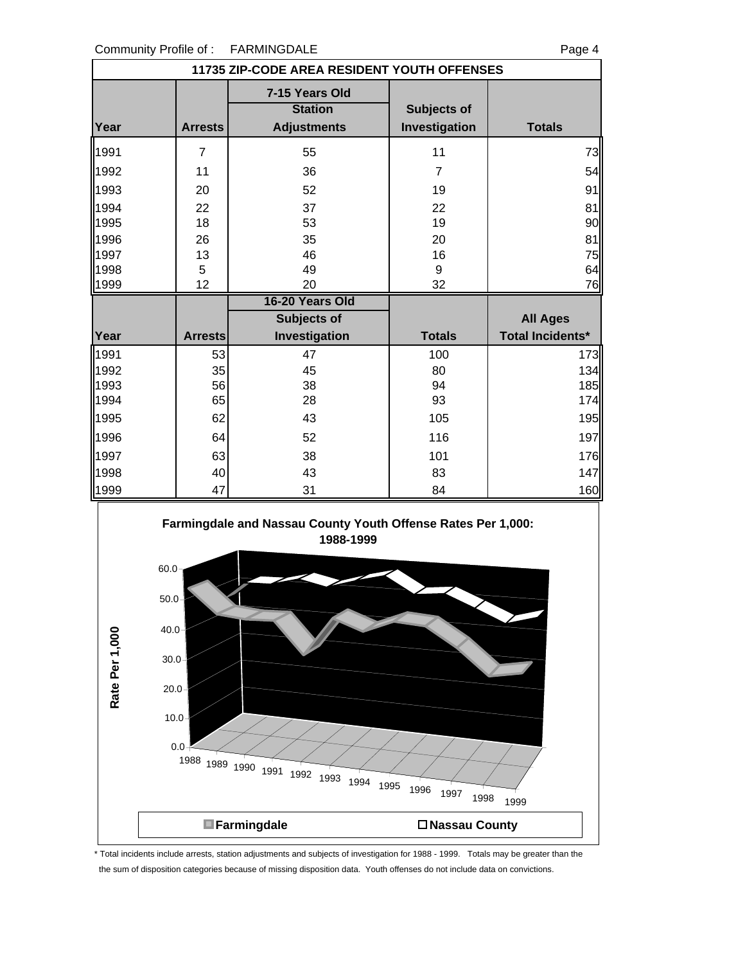Community Profile of : FARMINGDALE **Franch** Page 4

 $0.0 +$ 

 $10.0 -$ 

| COMMUNICATION PLOTING OF.<br><b>FARIVIIINGUALE</b><br>Page 4           |                  |                                                                           |                              |                         |  |  |
|------------------------------------------------------------------------|------------------|---------------------------------------------------------------------------|------------------------------|-------------------------|--|--|
| 11735 ZIP-CODE AREA RESIDENT YOUTH OFFENSES                            |                  |                                                                           |                              |                         |  |  |
| Year                                                                   | <b>Arrests</b>   | 7-15 Years Old<br><b>Station</b><br><b>Adjustments</b>                    | Subjects of<br>Investigation | <b>Totals</b>           |  |  |
| 1991                                                                   | $\overline{7}$   | 55                                                                        | 11                           | 73                      |  |  |
| 1992                                                                   | 11               | 36                                                                        | $\overline{7}$               | 54                      |  |  |
| 1993                                                                   | 20               | 52                                                                        | 19                           | 91                      |  |  |
| 1994                                                                   | 22               | 37                                                                        | 22                           | 81                      |  |  |
| 1995                                                                   | 18               | 53                                                                        | 19                           | 90                      |  |  |
| 1996                                                                   | 26               | 35                                                                        | 20                           | 81                      |  |  |
| 1997                                                                   | 13               | 46                                                                        | 16                           | 75                      |  |  |
| 1998<br>1999                                                           | $\sqrt{5}$<br>12 | 49<br>20                                                                  | 9<br>32                      | 64<br>76                |  |  |
|                                                                        |                  | 16-20 Years Old                                                           |                              |                         |  |  |
|                                                                        |                  | Subjects of                                                               |                              | <b>All Ages</b>         |  |  |
| Year                                                                   | <b>Arrests</b>   | Investigation                                                             | <b>Totals</b>                | <b>Total Incidents*</b> |  |  |
| 1991                                                                   | 53               | 47                                                                        | 100                          | 173                     |  |  |
| 1992                                                                   | 35               | 45                                                                        | 80                           | 134                     |  |  |
| 1993                                                                   | 56               | 38                                                                        | 94                           | 185                     |  |  |
| 1994                                                                   | 65               | 28                                                                        | 93                           | 174                     |  |  |
| 1995                                                                   | 62               | 43                                                                        | 105                          | 195                     |  |  |
| 1996                                                                   | 64               | 52                                                                        | 116                          | 197                     |  |  |
| 1997                                                                   | 63               | 38                                                                        | 101                          | 176                     |  |  |
| 1998                                                                   | 40               | 43                                                                        | 83                           | 147                     |  |  |
| 1999                                                                   | 47               | 31                                                                        | 84                           | 160                     |  |  |
| $60.0 -$<br>$50.0 -$<br>$40.0 -$<br>Rate Per 1,000<br>30.0<br>$20.0 -$ |                  | Farmingdale and Nassau County Youth Offense Rates Per 1,000:<br>1988-1999 |                              |                         |  |  |

\* Total incidents include arrests, station adjustments and subjects of investigation for 1988 - 1999. Totals may be greater than the the sum of disposition categories because of missing disposition data. Youth offenses do not include data on convictions.

<sup>1988</sup> <sup>1989</sup> <sup>1990</sup> <sup>1991</sup> <sup>1992</sup> <sup>1993</sup> <sup>1994</sup> <sup>1995</sup> <sup>1996</sup> <sup>1997</sup> <sup>1998</sup> <sup>1999</sup>

**Farmingdale Nassau County**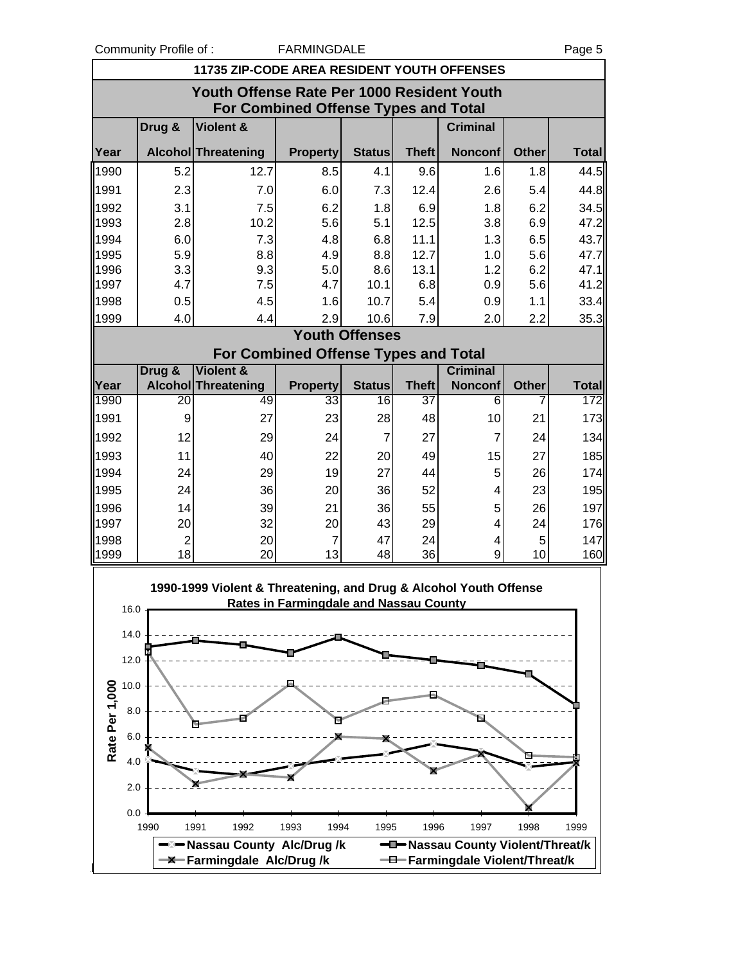Community Profile of : FARMINGDALE Page 5

|                | <b>11735 ZIP-CODE AREA RESIDENT YOUTH OFFENSES</b>                                        |                                                                   |                                               |                       |                    |                                   |              |                     |  |  |
|----------------|-------------------------------------------------------------------------------------------|-------------------------------------------------------------------|-----------------------------------------------|-----------------------|--------------------|-----------------------------------|--------------|---------------------|--|--|
|                | Youth Offense Rate Per 1000 Resident Youth<br><b>For Combined Offense Types and Total</b> |                                                                   |                                               |                       |                    |                                   |              |                     |  |  |
|                | Drug &                                                                                    | Violent &                                                         |                                               |                       |                    | <b>Criminal</b>                   |              |                     |  |  |
| Year           |                                                                                           | <b>Alcohol Threatening</b>                                        | <b>Property</b>                               | <b>Status</b>         | <b>Theft</b>       | <b>Nonconf</b>                    | <b>Other</b> | <b>Total</b>        |  |  |
| 1990           | 5.2                                                                                       | 12.7                                                              | 8.5                                           | 4.1                   | 9.6                | 1.6                               | 1.8          | 44.5                |  |  |
| 1991           | 2.3                                                                                       | 7.0                                                               | 6.0                                           | 7.3                   | 12.4               | 2.6                               | 5.4          | 44.8                |  |  |
| 1992           | 3.1                                                                                       | 7.5                                                               | 6.2                                           | 1.8                   | 6.9                | 1.8                               | 6.2          | 34.5                |  |  |
| 1993           | 2.8                                                                                       | 10.2                                                              | 5.6                                           | 5.1                   | 12.5               | 3.8                               | 6.9          | 47.2                |  |  |
| 1994           | 6.0                                                                                       | 7.3                                                               | 4.8                                           | 6.8                   | 11.1               | 1.3                               | 6.5          | 43.7                |  |  |
| 1995           | 5.9                                                                                       | 8.8                                                               | 4.9                                           | 8.8                   | 12.7               | 1.0                               | 5.6          | 47.7                |  |  |
| 1996           | 3.3                                                                                       | 9.3                                                               | 5.0                                           | 8.6                   | 13.1               | 1.2                               | 6.2          | 47.1                |  |  |
| 1997           | 4.7                                                                                       | 7.5                                                               | 4.7                                           | 10.1                  | 6.8                | 0.9                               | 5.6          | 41.2                |  |  |
| 1998           | 0.5                                                                                       | 4.5                                                               | 1.6                                           | 10.7                  | 5.4                | 0.9                               | 1.1          | 33.4                |  |  |
| 1999           | 4.0                                                                                       | 4.4                                                               | 2.9                                           | 10.6                  | 7.9                | 2.0                               | 2.2          | 35.3                |  |  |
|                |                                                                                           |                                                                   |                                               | <b>Youth Offenses</b> |                    |                                   |              |                     |  |  |
|                |                                                                                           |                                                                   | <b>For Combined Offense Types and Total</b>   |                       |                    |                                   |              |                     |  |  |
|                | Drug &                                                                                    | <b>Violent &amp;</b>                                              | <b>Property</b>                               |                       |                    | <b>Criminal</b>                   |              |                     |  |  |
| Year<br>1990   | 20                                                                                        | Alcohol Threatening<br>49                                         | 33                                            | <b>Status</b><br>16   | <b>Theft</b><br>37 | <b>Nonconf</b><br>6               | <b>Other</b> | <b>Total</b><br>172 |  |  |
| 1991           | 9                                                                                         | 27                                                                | 23                                            | 28                    | 48                 | 10                                | 21           | 173                 |  |  |
|                |                                                                                           |                                                                   |                                               |                       |                    |                                   |              |                     |  |  |
| 1992           | 12                                                                                        | 29                                                                | 24                                            | $\overline{7}$        | 27                 | $\overline{7}$                    | 24           | 134                 |  |  |
| 1993           | 11                                                                                        | 40                                                                | 22                                            | 20                    | 49                 | 15                                | 27           | 185                 |  |  |
| 1994           | 24                                                                                        | 29                                                                | 19                                            | 27                    | 44                 | 5                                 | 26           | 174                 |  |  |
| 1995           | 24                                                                                        | 36                                                                | 20                                            | 36                    | 52                 | 4                                 | 23           | 195                 |  |  |
| 1996           | 14                                                                                        | 39                                                                | 21                                            | 36                    | 55                 | 5                                 | 26           | 197                 |  |  |
| 1997           | 20                                                                                        | 32                                                                | 20                                            | 43                    | 29                 | $\overline{4}$                    | 24           | 176                 |  |  |
| 1998           | $\overline{2}$                                                                            | 20                                                                | $\overline{7}$                                | 47                    | 24                 | 4                                 | 5            | 147                 |  |  |
| 1999           | 18                                                                                        | 20                                                                | 13                                            | 48                    | 36                 | 9                                 | 10           | 160                 |  |  |
| 16.0           |                                                                                           | 1990-1999 Violent & Threatening, and Drug & Alcohol Youth Offense | <b>Rates in Farmingdale and Nassau County</b> |                       |                    |                                   |              |                     |  |  |
| 14.0           |                                                                                           |                                                                   |                                               |                       |                    |                                   |              |                     |  |  |
| 12.0           |                                                                                           |                                                                   |                                               |                       |                    |                                   |              |                     |  |  |
| 10.0           |                                                                                           |                                                                   |                                               |                       |                    |                                   |              |                     |  |  |
| Rate Per 1,000 |                                                                                           |                                                                   |                                               |                       |                    |                                   |              |                     |  |  |
| 8.0            |                                                                                           |                                                                   |                                               |                       |                    | Ы                                 |              |                     |  |  |
| 6.0            |                                                                                           |                                                                   |                                               |                       |                    |                                   |              |                     |  |  |
|                |                                                                                           |                                                                   |                                               |                       |                    |                                   |              |                     |  |  |
| 4.0            |                                                                                           |                                                                   |                                               |                       |                    |                                   |              |                     |  |  |
| 2.0            |                                                                                           |                                                                   |                                               |                       |                    |                                   |              |                     |  |  |
| 0.0            |                                                                                           |                                                                   |                                               |                       |                    |                                   |              |                     |  |  |
|                | 1990                                                                                      | 1991<br>1992                                                      | 1993<br>1994                                  | 1995                  | 1996               | 1997                              | 1998         | 1999                |  |  |
|                |                                                                                           | —⊠— Nassau County Alc/Drug /k                                     |                                               |                       |                    | -D-Nassau County Violent/Threat/k |              |                     |  |  |
|                |                                                                                           | -X-Farmingdale Alc/Drug/k                                         |                                               |                       |                    | -D-Farmingdale Violent/Threat/k   |              |                     |  |  |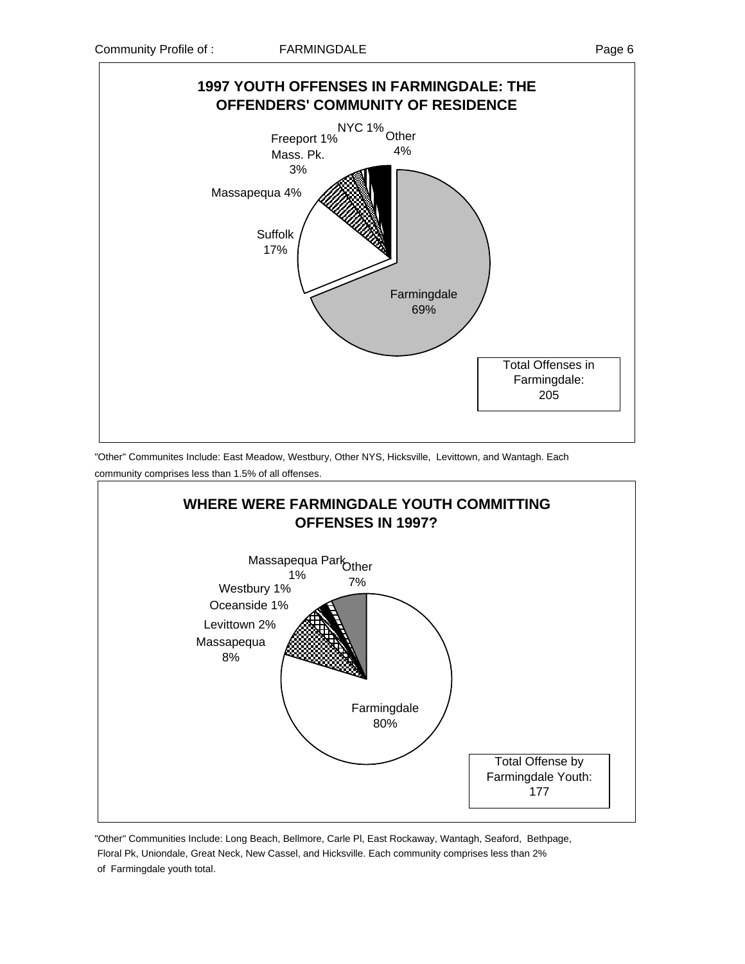

"Other" Communites Include: East Meadow, Westbury, Other NYS, Hicksville, Levittown, and Wantagh. Each community comprises less than 1.5% of all offenses.



"Other" Communities Include: Long Beach, Bellmore, Carle Pl, East Rockaway, Wantagh, Seaford, Bethpage, Floral Pk, Uniondale, Great Neck, New Cassel, and Hicksville. Each community comprises less than 2% of Farmingdale youth total.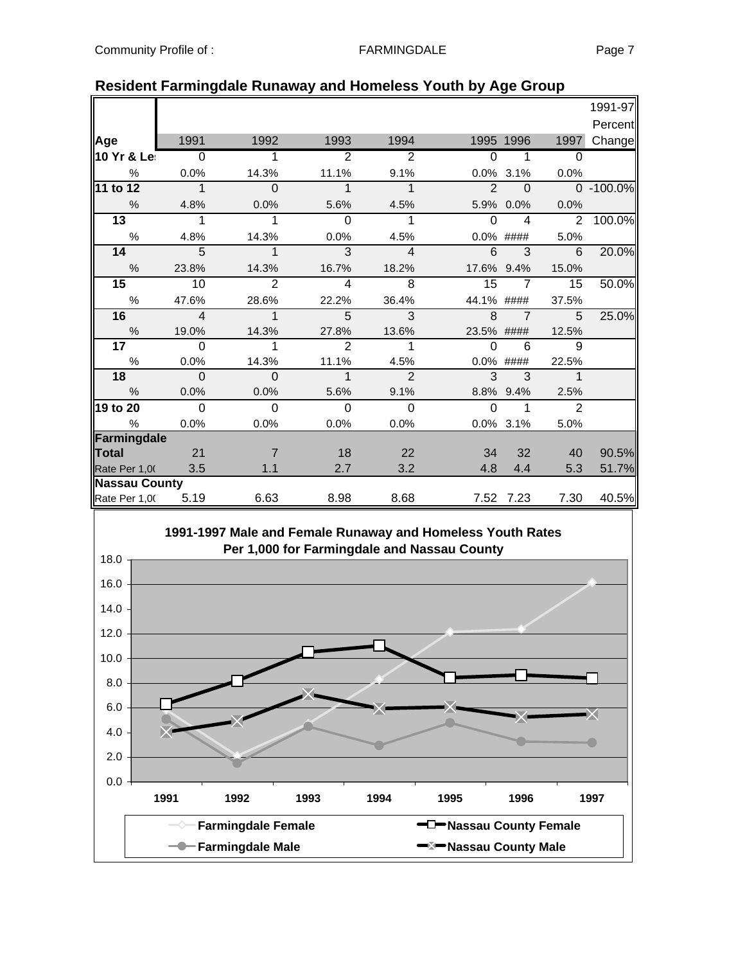|                      |                          |                            |                |                |                |                |                | 1991-97   |
|----------------------|--------------------------|----------------------------|----------------|----------------|----------------|----------------|----------------|-----------|
|                      |                          |                            |                |                |                |                |                | Percent   |
| Age                  | 1991                     | 1992                       | 1993           | 1994           |                | 1995 1996      | 1997           | Change    |
| 10 Yr & Le:          | $\overline{0}$           |                            | $\overline{2}$ | $\overline{2}$ | $\Omega$       |                | $\Omega$       |           |
| $\frac{0}{0}$        | 0.0%                     | 14.3%                      | 11.1%          | 9.1%           |                | 0.0% 3.1%      | 0.0%           |           |
| $11$ to $12$         | $\overline{\phantom{a}}$ | $\overline{0}$             | $\mathbf{1}$   | $\overline{1}$ | $\overline{2}$ | $\Omega$       |                | 0 -100.0% |
| $\frac{0}{0}$        | 4.8%                     | 0.0%                       | 5.6%           | 4.5%           |                | 5.9% 0.0%      | 0.0%           |           |
| $\overline{13}$      | 1                        | 1                          | $\mathbf 0$    | 1              | $\Omega$       | $\overline{4}$ | 2              | 100.0%    |
| $\%$                 | 4.8%                     | 14.3%                      | 0.0%           | 4.5%           | 0.0% ####      |                | 5.0%           |           |
| 14                   | $\overline{5}$           | $\mathbf{1}$               | 3              | $\overline{4}$ | 6              | 3              | 6              | 20.0%     |
| $\%$                 | 23.8%                    | 14.3%                      | 16.7%          | 18.2%          | 17.6% 9.4%     |                | 15.0%          |           |
| $\overline{15}$      | 10                       | $\overline{2}$             | $\overline{4}$ | $\overline{8}$ | 15             | $\overline{7}$ | 15             | 50.0%     |
| $\%$                 | 47.6%                    | 28.6%                      | 22.2%          | 36.4%          | 44.1% ####     |                | 37.5%          |           |
| 16                   | $\overline{4}$           | $\overline{\phantom{1}}$ 1 | 5              | $\overline{3}$ | 8              | $\overline{7}$ | 5              | 25.0%     |
| $\frac{0}{0}$        | 19.0%                    | 14.3%                      | 27.8%          | 13.6%          | 23.5% ####     |                | 12.5%          |           |
| 17 <sub>1</sub>      | $\Omega$                 |                            | $\overline{2}$ | 1              | $\Omega$       | 6              | 9              |           |
| $\%$                 | 0.0%                     | 14.3%                      | 11.1%          | 4.5%           | $0.0\%$        | ####           | 22.5%          |           |
| 18                   | $\mathbf 0$              | $\mathbf 0$                | $\mathbf 1$    | $\overline{2}$ | $\overline{3}$ | 3              | $\overline{1}$ |           |
| $\frac{0}{0}$        | 0.0%                     | 0.0%                       | 5.6%           | 9.1%           |                | 8.8% 9.4%      | 2.5%           |           |
| 19 to 20             | $\overline{0}$           | $\overline{0}$             | $\overline{0}$ | $\mathbf 0$    | $\Omega$       | 1              | $\overline{2}$ |           |
| %                    | 0.0%                     | 0.0%                       | 0.0%           | 0.0%           |                | 0.0% 3.1%      | 5.0%           |           |
| Farmingdale          |                          |                            |                |                |                |                |                |           |
| <b>Total</b>         | 21                       | $\overline{7}$             | 18             | 22             | 34             | 32             | 40             | 90.5%     |
| Rate Per 1,00        | 3.5                      | 1.1                        | 2.7            | 3.2            | 4.8            | 4.4            | 5.3            | 51.7%     |
| <b>Nassau County</b> |                          |                            |                |                |                |                |                |           |
| Rate Per 1,00        | 5.19                     | 6.63                       | 8.98           | 8.68           |                | 7.52 7.23      | 7.30           | 40.5%     |

| <b>Resident Farmingdale Runaway and Homeless Youth by Age Group</b> |  |  |  |  |
|---------------------------------------------------------------------|--|--|--|--|
|---------------------------------------------------------------------|--|--|--|--|

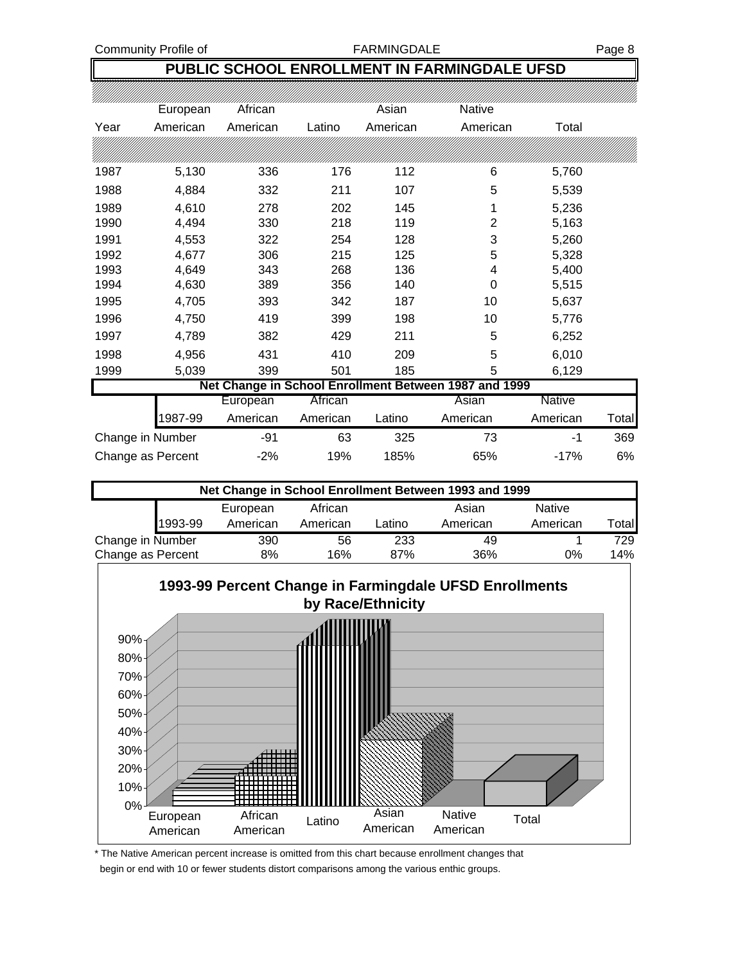Community Profile of The Tax Research Community Profile of Tax Research Page 8

## **PUBLIC SCHOOL ENROLLMENT IN FARMINGDALE UFSD**

|                  | European          | African  |          | Asian    | <b>Native</b>                                         |          |       |
|------------------|-------------------|----------|----------|----------|-------------------------------------------------------|----------|-------|
| Year             | American          | American | Latino   | American | American                                              | Total    |       |
|                  |                   |          |          |          |                                                       |          |       |
| 1987             | 5,130             | 336      | 176      | 112      | 6                                                     | 5,760    |       |
| 1988             | 4,884             | 332      | 211      | 107      | 5                                                     | 5,539    |       |
| 1989             | 4,610             | 278      | 202      | 145      | 1                                                     | 5,236    |       |
| 1990             | 4,494             | 330      | 218      | 119      | $\overline{2}$                                        | 5,163    |       |
| 1991             | 4,553             | 322      | 254      | 128      | 3                                                     | 5,260    |       |
| 1992             | 4,677             | 306      | 215      | 125      | 5                                                     | 5,328    |       |
| 1993             | 4,649             | 343      | 268      | 136      | 4                                                     | 5,400    |       |
| 1994             | 4,630             | 389      | 356      | 140      | 0                                                     | 5,515    |       |
| 1995             | 4,705             | 393      | 342      | 187      | 10                                                    | 5,637    |       |
| 1996             | 4,750             | 419      | 399      | 198      | 10                                                    | 5,776    |       |
| 1997             | 4,789             | 382      | 429      | 211      | 5                                                     | 6,252    |       |
| 1998             | 4,956             | 431      | 410      | 209      | 5                                                     | 6,010    |       |
| 1999             | 5,039             | 399      | 501      | 185      | 5                                                     | 6,129    |       |
|                  |                   |          |          |          | Net Change in School Enrollment Between 1987 and 1999 |          |       |
|                  |                   | European | African  |          | Asian                                                 | Native   |       |
|                  | 1987-99           | American | American | Latino   | American                                              | American | Total |
| Change in Number |                   | -91      | 63       | 325      | 73                                                    | -1       | 369   |
|                  | Change as Percent | $-2%$    | 19%      | 185%     | 65%                                                   | $-17%$   | 6%    |

| Net Change in School Enrollment Between 1993 and 1999 |          |     |                    |          |               |        |  |  |  |
|-------------------------------------------------------|----------|-----|--------------------|----------|---------------|--------|--|--|--|
|                                                       | European |     | African            | Asian    | <b>Native</b> |        |  |  |  |
| 1993-99                                               | American |     | American<br>Latino | American | American      | Totall |  |  |  |
| Change in Number                                      |          | 390 | 56                 | 233      | 49            | 729    |  |  |  |
| Change as Percent                                     |          | 8%  | 16%                | 87%      | 36%<br>0%     | 14%    |  |  |  |



\* The Native American percent increase is omitted from this chart because enrollment changes that begin or end with 10 or fewer students distort comparisons among the various enthic groups.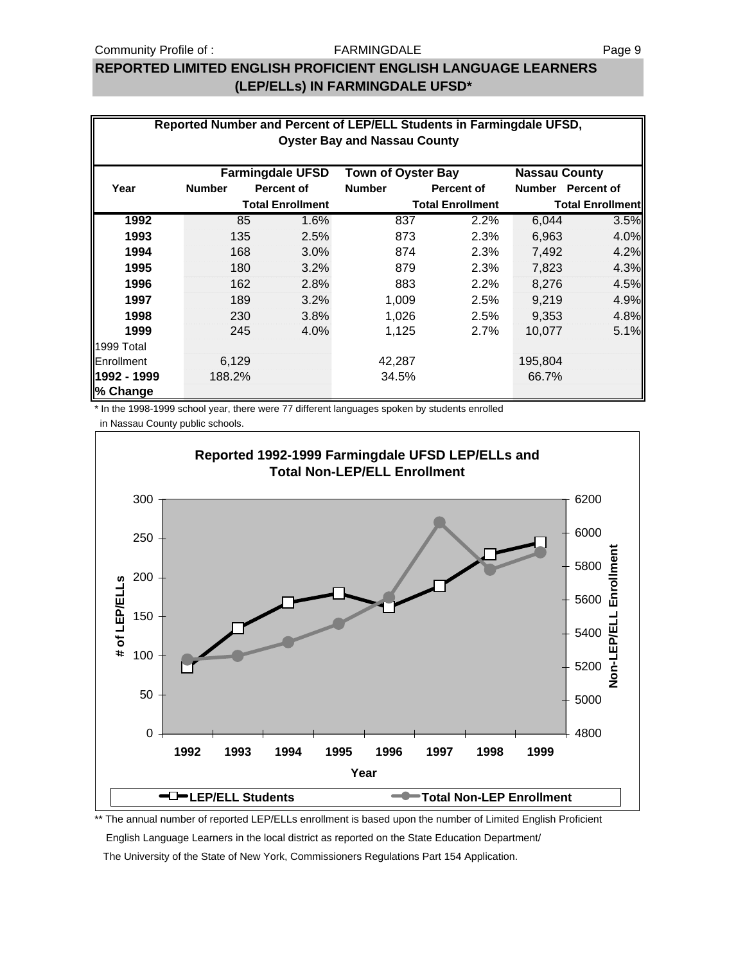### Community Profile of : The Page 9 September 2014 of the Page 9

### FARMINGDALE

## **REPORTED LIMITED ENGLISH PROFICIENT ENGLISH LANGUAGE LEARNERS (LEP/ELLs) IN FARMINGDALE UFSD\***

|                                                                              | Reported Number and Percent of LEP/ELL Students in Farmingdale UFSD, |                         |               |                         |         |                         |  |  |  |
|------------------------------------------------------------------------------|----------------------------------------------------------------------|-------------------------|---------------|-------------------------|---------|-------------------------|--|--|--|
| <b>Oyster Bay and Nassau County</b>                                          |                                                                      |                         |               |                         |         |                         |  |  |  |
| <b>Farmingdale UFSD</b><br><b>Town of Oyster Bay</b><br><b>Nassau County</b> |                                                                      |                         |               |                         |         |                         |  |  |  |
| Year                                                                         | <b>Number</b>                                                        | <b>Percent of</b>       | <b>Number</b> | <b>Percent of</b>       | Number  | <b>Percent of</b>       |  |  |  |
|                                                                              |                                                                      | <b>Total Enrollment</b> |               | <b>Total Enrollment</b> |         | <b>Total Enrollment</b> |  |  |  |
| 1992                                                                         | 85                                                                   | 1.6%                    | 837           | 2.2%                    | 6,044   | 3.5%                    |  |  |  |
| 1993                                                                         | 135                                                                  | 2.5%                    | 873           | 2.3%                    | 6,963   | 4.0%                    |  |  |  |
| 1994                                                                         | 168                                                                  | 3.0%                    | 874           | 2.3%                    | 7,492   | 4.2%                    |  |  |  |
| 1995                                                                         | 180                                                                  | 3.2%                    | 879           | 2.3%                    | 7,823   | 4.3%                    |  |  |  |
| 1996                                                                         | 162                                                                  | 2.8%                    | 883           | 2.2%                    | 8,276   | 4.5%                    |  |  |  |
| 1997                                                                         | 189                                                                  | 3.2%                    | 1,009         | 2.5%                    | 9,219   | 4.9%                    |  |  |  |
| 1998                                                                         | 230                                                                  | 3.8%                    | 1,026         | 2.5%                    | 9,353   | 4.8%                    |  |  |  |
| 1999                                                                         | 245                                                                  | 4.0%                    | 1,125         | 2.7%                    | 10,077  | 5.1%                    |  |  |  |
| 1999 Total                                                                   |                                                                      |                         |               |                         |         |                         |  |  |  |
| Enrollment                                                                   | 6,129                                                                |                         | 42,287        |                         | 195,804 |                         |  |  |  |
| 1992 - 1999                                                                  | 188.2%                                                               |                         | 34.5%         |                         | 66.7%   |                         |  |  |  |
| % Change                                                                     |                                                                      |                         |               |                         |         |                         |  |  |  |

\* In the 1998-1999 school year, there were 77 different languages spoken by students enrolled

in Nassau County public schools.



The annual number of reported LEP/ELLs enrollment is based upon the number of Limited English Proficient

English Language Learners in the local district as reported on the State Education Department/

The University of the State of New York, Commissioners Regulations Part 154 Application.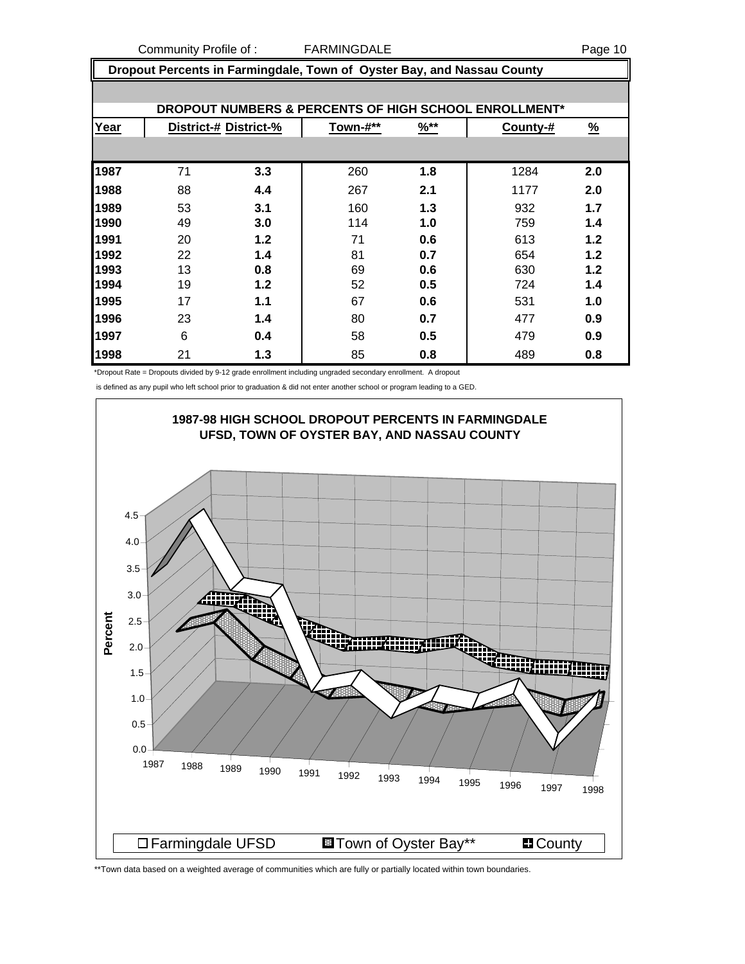Community Profile of : THE FARMINGDALE **FARMING PAGE 10** 

 **Dropout Percents in Farmingdale, Town of Oyster Bay, and Nassau County**

| DROPOUT NUMBERS & PERCENTS OF HIGH SCHOOL ENROLLMENT* |                       |     |          |                  |          |               |  |  |
|-------------------------------------------------------|-----------------------|-----|----------|------------------|----------|---------------|--|--|
| Year                                                  | District-# District-% |     | Town-#** | $\frac{9}{6}$ ** | County-# | $\frac{9}{6}$ |  |  |
|                                                       |                       |     |          |                  |          |               |  |  |
| 1987                                                  | 71                    | 3.3 | 260      | 1.8              | 1284     | 2.0           |  |  |
| 1988                                                  | 88                    | 4.4 | 267      | 2.1              | 1177     | 2.0           |  |  |
| 1989                                                  | 53                    | 3.1 | 160      | 1.3              | 932      | 1.7           |  |  |
| 1990                                                  | 49                    | 3.0 | 114      | 1.0              | 759      | 1.4           |  |  |
| 1991                                                  | 20                    | 1.2 | 71       | 0.6              | 613      | 1.2           |  |  |
| 1992                                                  | 22                    | 1.4 | 81       | 0.7              | 654      | 1.2           |  |  |
| 1993                                                  | 13                    | 0.8 | 69       | 0.6              | 630      | 1.2           |  |  |
| 1994                                                  | 19                    | 1.2 | 52       | 0.5              | 724      | 1.4           |  |  |
| 1995                                                  | 17                    | 1.1 | 67       | 0.6              | 531      | 1.0           |  |  |
| 1996                                                  | 23                    | 1.4 | 80       | 0.7              | 477      | 0.9           |  |  |
| 1997                                                  | 6                     | 0.4 | 58       | 0.5              | 479      | 0.9           |  |  |
| 1998                                                  | 21                    | 1.3 | 85       | 0.8              | 489      | 0.8           |  |  |

\*Dropout Rate = Dropouts divided by 9-12 grade enrollment including ungraded secondary enrollment. A dropout

is defined as any pupil who left school prior to graduation & did not enter another school or program leading to a GED.



\*\*Town data based on a weighted average of communities which are fully or partially located within town boundaries.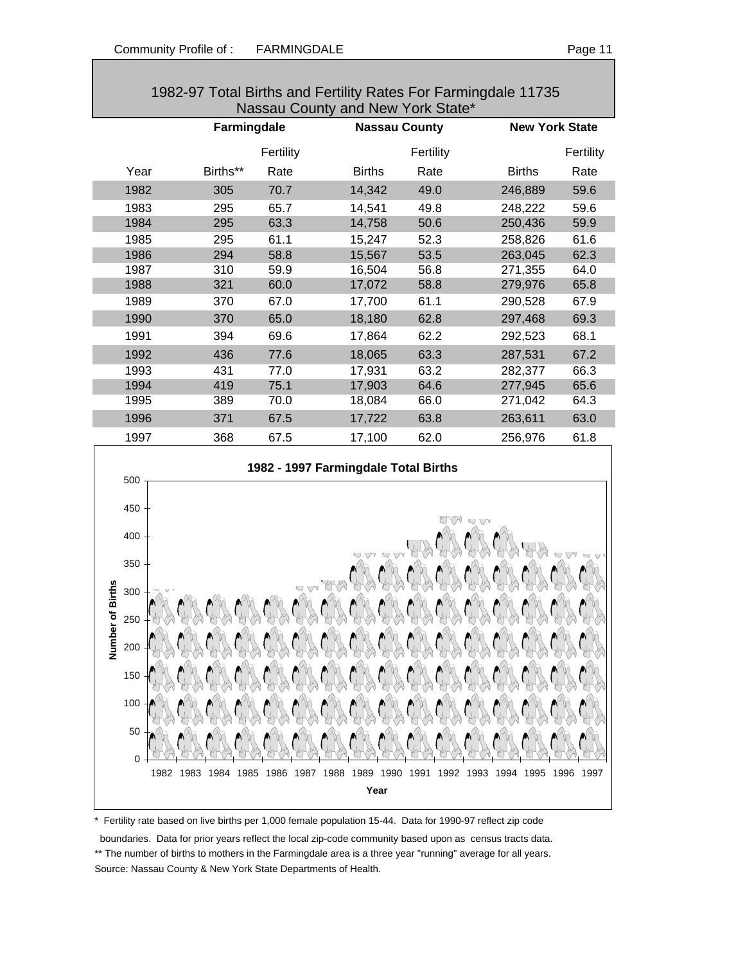| 1982-97 Total Births and Fertility Rates For Farmingdale 11735 |             |           |                      |           |                       |           |  |  |
|----------------------------------------------------------------|-------------|-----------|----------------------|-----------|-----------------------|-----------|--|--|
| Nassau County and New York State*                              |             |           |                      |           |                       |           |  |  |
|                                                                | Farmingdale |           | <b>Nassau County</b> |           | <b>New York State</b> |           |  |  |
|                                                                |             | Fertility |                      | Fertility |                       | Fertility |  |  |
| Year                                                           | Births**    | Rate      | <b>Births</b>        | Rate      | <b>Births</b>         | Rate      |  |  |
| 1982                                                           | 305         | 70.7      | 14,342               | 49.0      | 246,889               | 59.6      |  |  |
| 1983                                                           | 295         | 65.7      | 14,541               | 49.8      | 248,222               | 59.6      |  |  |
| 1984                                                           | 295         | 63.3      | 14,758               | 50.6      | 250,436               | 59.9      |  |  |
| 1985                                                           | 295         | 61.1      | 15,247               | 52.3      | 258,826               | 61.6      |  |  |
| 1986                                                           | 294         | 58.8      | 15,567               | 53.5      | 263,045               | 62.3      |  |  |
| 1987                                                           | 310         | 59.9      | 16,504               | 56.8      | 271,355               | 64.0      |  |  |
| 1988                                                           | 321         | 60.0      | 17,072               | 58.8      | 279,976               | 65.8      |  |  |
| 1989                                                           | 370         | 67.0      | 17,700               | 61.1      | 290,528               | 67.9      |  |  |
| 1990                                                           | 370         | 65.0      | 18,180               | 62.8      | 297,468               | 69.3      |  |  |
| 1991                                                           | 394         | 69.6      | 17,864               | 62.2      | 292,523               | 68.1      |  |  |
| 1992                                                           | 436         | 77.6      | 18,065               | 63.3      | 287,531               | 67.2      |  |  |
| 1993                                                           | 431         | 77.0      | 17,931               | 63.2      | 282,377               | 66.3      |  |  |
| 1994                                                           | 419         | 75.1      | 17,903               | 64.6      | 277,945               | 65.6      |  |  |
| 1995                                                           | 389         | 70.0      | 18,084               | 66.0      | 271,042               | 64.3      |  |  |
| 1996                                                           | 371         | 67.5      | 17,722               | 63.8      | 263,611               | 63.0      |  |  |
| 1997                                                           | 368         | 67.5      | 17,100               | 62.0      | 256,976               | 61.8      |  |  |



\* Fertility rate based on live births per 1,000 female population 15-44. Data for 1990-97 reflect zip code

boundaries. Data for prior years reflect the local zip-code community based upon as census tracts data.

\*\* The number of births to mothers in the Farmingdale area is a three year "running" average for all years. Source: Nassau County & New York State Departments of Health.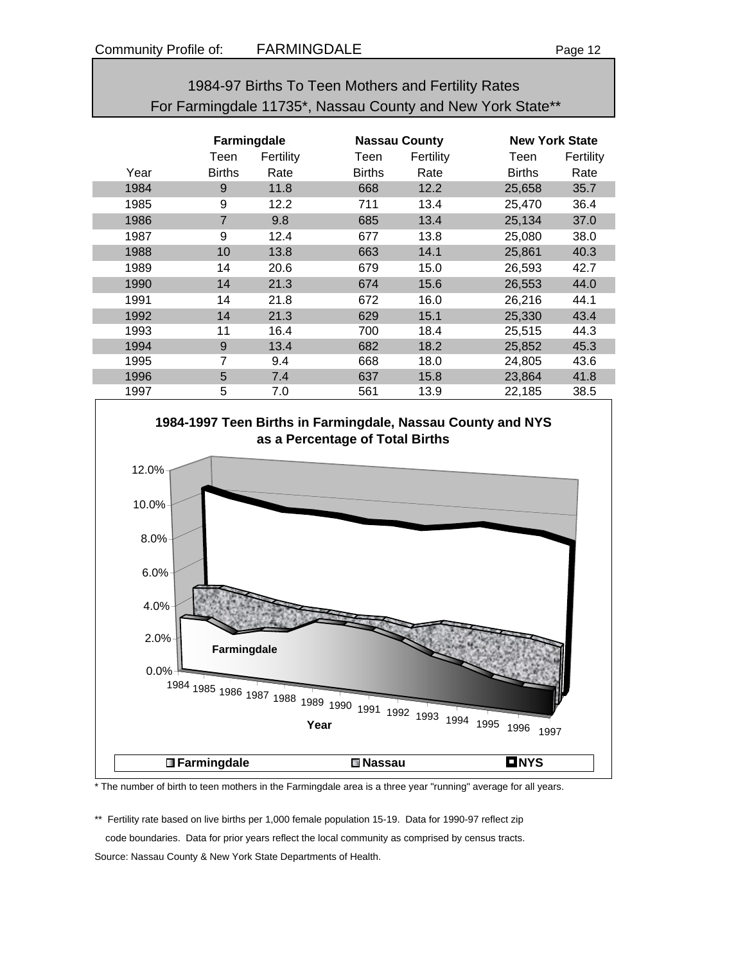| 1984-97 Births To Teen Mothers and Fertility Rates         |
|------------------------------------------------------------|
| For Farmingdale 11735*, Nassau County and New York State** |

|      | Farmingdale    |           |               | <b>Nassau County</b> |               | <b>New York State</b> |  |
|------|----------------|-----------|---------------|----------------------|---------------|-----------------------|--|
|      | Teen           | Fertility | Teen          | Fertility            | Teen          | Fertility             |  |
| Year | <b>Births</b>  | Rate      | <b>Births</b> | Rate                 | <b>Births</b> | Rate                  |  |
| 1984 | 9              | 11.8      | 668           | 12.2                 | 25,658        | 35.7                  |  |
| 1985 | 9              | 12.2      | 711           | 13.4                 | 25,470        | 36.4                  |  |
| 1986 | $\overline{7}$ | 9.8       | 685           | 13.4                 | 25,134        | 37.0                  |  |
| 1987 | 9              | 12.4      | 677           | 13.8                 | 25,080        | 38.0                  |  |
| 1988 | 10             | 13.8      | 663           | 14.1                 | 25,861        | 40.3                  |  |
| 1989 | 14             | 20.6      | 679           | 15.0                 | 26,593        | 42.7                  |  |
| 1990 | 14             | 21.3      | 674           | 15.6                 | 26,553        | 44.0                  |  |
| 1991 | 14             | 21.8      | 672           | 16.0                 | 26,216        | 44.1                  |  |
| 1992 | 14             | 21.3      | 629           | 15.1                 | 25,330        | 43.4                  |  |
| 1993 | 11             | 16.4      | 700           | 18.4                 | 25,515        | 44.3                  |  |
| 1994 | 9              | 13.4      | 682           | 18.2                 | 25,852        | 45.3                  |  |
| 1995 | $\overline{7}$ | 9.4       | 668           | 18.0                 | 24.805        | 43.6                  |  |
| 1996 | 5              | 7.4       | 637           | 15.8                 | 23,864        | 41.8                  |  |
| 1997 | 5              | 7.0       | 561           | 13.9                 | 22,185        | 38.5                  |  |



\* The number of birth to teen mothers in the Farmingdale area is a three year "running" average for all years.

\*\* Fertility rate based on live births per 1,000 female population 15-19. Data for 1990-97 reflect zip code boundaries. Data for prior years reflect the local community as comprised by census tracts. Source: Nassau County & New York State Departments of Health.